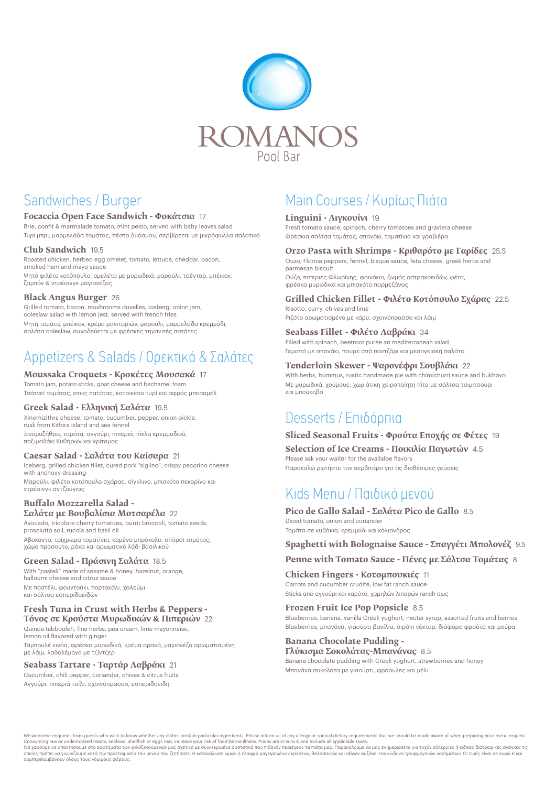

## Sandwiches / Burger

### **Focaccia Open Face Sandwich - Φοκάτσια** 17

Brie, confit & marmalade tomato, mint pesto, served with baby leaves salad Τυρί μπρι, μαρμελάδα τομάτας, πέστο δυόσμου, σερβίρεται με μικρόφυλλα σαλατικά

### **Club Sandwich** 19.5

Roasted chicken, herbed egg omelet, tomato, lettuce, cheddar, bacon, smoked ham and mayo sauce

Ψητό φιλέτο κοτόπουλο, ομελέτα με μυρωδικά, μαρούλι, τσένταρ, μπέικον, ζαμπόν & ντρέσινγκ μαγιονέζας

### **Black Angus Burger** 26

Grilled tomato, bacon, mushrooms duxelles, iceberg, onion jam, coleslaw salad with lemon jest, served with french fries

Ψητή τομάτα, μπέικον, κρέμα μανιταριών, μαρούλι, μαρμελάδα κρεμμύδι, σαλάτα coleslaw, συνοδεύεται με φρέσκες τηγανιτές πατάτες

# Appetizers & Salads / Ορεκτικά & Σαλάτες

### **Moussaka Croquets - Κροκέτες Μουσακά** 17

Tomato jam, potato sticks, goat cheese and bechamel foam Τσάτνεї τομάτας, στικς πατάτας, κατσικίσιο τυρί και αφρός μπεσαμέλ

### **Greek Salad - Ελληνική Σαλάτα** 19.5

Xinomizithra cheese, tomato, cucumber, pepper, onion pickle, rusk from Kithira island and sea fennel Ξινομυζήθρα, τομάτα, αγγούρι, πιπεριά, πίκλα κρεμμυδιού, παξιμαδάκι Κυθήρων και κρίταμος

### **Caesar Salad - Σαλάτα του Καίσαρα** 21

Iceberg, grilled chicken fillet, cured pork "siglino", crispy pecorino cheese with anchovy dressing Μαρούλι, φιλέτο κοτόπουλο σχάρας, σίγκλινο, μπισκότο πεκορίνο και ντρέσινγκ αντζούγιας

We welcome enquiries from guests who wish to know whether any dishes contain particular ingredients. Please inform us of any allergy or special dietary requirements that we should be made aware of when preparing your menu Consuming raw or undercooked meats, seafood, shellfish or eggs may increase your risk of food-borne illness. Prices are in euro € and include all applicable taxes.

### **Buffalo Μozzarella Salad - Σαλάτα με Βουβαλίσια Μοτσαρέλα** 22

Avocado, tricolore cherry tomatoes, burnt broccoli, tomato seeds, prosciutto soil, rucola and basil oil

Αβοκάντο, τρίχρωμα τοματίνια, καμένο μπρόκολο, σπόροι τομάτας, χώμα προσούτο, ρόκα και αρωματικό λάδι βασιλικού

### **Green Salad - Πράσινη Σαλάτα** 18.5

With "pasteli" made of sesame & honey, hazelnut, orange, halloumi cheese and citrus sauce Με παστέλι, φουντούκι, πορτοκάλι, χαλούμι

και σάλτσα εσπεριδοειδών

### **Fresh Τuna in Crust with Herbs & Peppers - Τόνος σε Κρούστα Μυρωδικών & Πιπεριών** 22

Quinoa tabbouleh, fine herbs, pea cream, lime mayonnaise, lemon oil flavored with ginger

Ταμπουλέ κινόα, φρέσκα μυρωδικά, κρέμα αρακά, μαγιονέζα αρωματισμένη με λάιμ, λαδολέμονο με τζίντζερ

### **Seabass Tartare - Ταρτάρ Λαβράκι** 21

Cucumber, chili pepper, coriander, chives & citrus fruits Αγγούρι, πιπεριά τσίλι, σχοινόπρασσο, εσπεριδοειδή

Θα χαρούμε να απαντήσουμε στα ερωτήματα των φιλοξενούμενών μας σχετικά με συγκεκριμένα συστατικά που πιθανόν περιέχουν τα πιάτα μας. Παρακαλούμε να μας ενημερώσετε για τυχόν αλλεργίες ή ειδικές διατροφικές ανάγκες τις οποίες πρέπει να γνωρίζουμε κατά την προετοιμασία του μενού που ζητήσατε. Η κατανάλωση ωμών ή ελαφρά μαγειρεμένων κρεάτων, θαλασσινών και αβγών αυξάνει τον κίνδυνο τροφιμογενών νοσημάτων. Οι τιμές είναι σε ευρώ € και συμπεριλαμβάνουν όλους τους νόμιμους φόρους.

# Main Courses / Κυρίως Πιάτα

### **Linguini - Λιγκουίνι** 19

Fresh tomato sauce, spinach, cherry tomatoes and graviera cheese Φρέσκια σάλτσα τομάτας, σπανάκι, τοματίνια και γραβιέρα

### **Orzo Pasta with Shrimps - Κριθαρότο με Γαρίδες** 25.5

Ouzo, Florina peppers, fennel, bisque sauce, feta cheese, greek herbs and parmesan biscuit

Ούζο, πιπεριές Φλωρίνης, φοινόκιο, ζωμός οστρακοειδών, φέτα, φρέσκα μυρωδικά και μπισκότο παρμεζάνας

## **Grilled Chicken Fillet - Φιλέτο Κοτόπουλο Σχάρας** 22.5

Risotto, curry, chives and lime Ριζότο αρωματισμένο με κάρυ, σχοινόπρασσο και λάιμ

### **Seabass Fillet - Φιλέτο Λαβράκι** 34

Filled with spinach, beetroot purée an mediterranean salad Γεμιστό με σπανάκι, πουρέ από παντζάρι και μεσογειακή σαλάτα

### **Tenderloin Skewer - Ψαρονέφρι Σουβλάκι** 22

With herbs, hummus, rustic handmade pie with chimichurri sauce and bukhovo Με μυρωδικά, χούμους, χωριάτικη χειροποίητη πίτα με σάλτσα τσιμιτσούρι και μπούκοβο

## Desserts / Επιδόρπια

### **Sliced Seasonal Fruits - Φρούτα Εποχής σε Φέτες** 19

**Selection of Ιce Creams - Ποικιλία Παγωτών** 4.5

Please ask your waiter for the availalbe flavors

Παρακαλώ ρωτήστε τον σερβιτόρο για τις διαθέσιμες γεύσεις

# Kids Menu / Παιδικό μενού

**Pico de Gallo Salad - Σαλάτα Pico de Gallo** 8.5 Diced tomato, onion and coriander Toμάτα σε κυβάκια, κρεμμύδι και κόλιανδρος

### **Spaghetti with Bolognaise Sauce - Σπαγγέτι Mπολονέζ** 9.5

**Penne with Tomato Sauce - Πένες με Σάλτσα Τομάτας** 8

### **Chicken Fingers - Κοτομπουκιές** 11

Carrots and cucumber crudité, low fat ranch sauce

Sticks από αγγούρι και καρότο, χαμηλών λιπαρών ranch σως

### **Frozen Fruit Ice Pop Popsicle** 8.5

Blueberries, banana, vanilla Greek yoghurt, nectar syrup, assorted fruits and berries Blueberries, μπανάνα, γιαούρτι βανίλια, σιρόπι νέκταρ, διάφορα φρούτα και μούρα

### **Banana Chocolate Pudding - Γλύκισμα Σοκολάτας-Μπανάνας** 8.5

Banana chocolate pudding with Greek yoghurt, strawberries and honey Μπανάνα σοκολάτα με γιαούρτι, φράουλες και μέλι